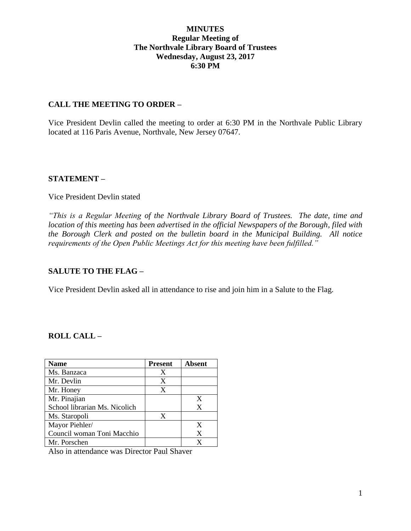## **MINUTES Regular Meeting of The Northvale Library Board of Trustees Wednesday, August 23, 2017 6:30 PM**

### **CALL THE MEETING TO ORDER –**

Vice President Devlin called the meeting to order at 6:30 PM in the Northvale Public Library located at 116 Paris Avenue, Northvale, New Jersey 07647.

### **STATEMENT –**

#### Vice President Devlin stated

*"This is a Regular Meeting of the Northvale Library Board of Trustees. The date, time and location of this meeting has been advertised in the official Newspapers of the Borough, filed with the Borough Clerk and posted on the bulletin board in the Municipal Building. All notice requirements of the Open Public Meetings Act for this meeting have been fulfilled."* 

## **SALUTE TO THE FLAG –**

Vice President Devlin asked all in attendance to rise and join him in a Salute to the Flag.

## **ROLL CALL –**

| <b>Name</b>                   | <b>Present</b> | Absent |
|-------------------------------|----------------|--------|
| Ms. Banzaca                   | X              |        |
| Mr. Devlin                    | X              |        |
| Mr. Honey                     | X              |        |
| Mr. Pinajian                  |                | X      |
| School librarian Ms. Nicolich |                | X      |
| Ms. Staropoli                 | X              |        |
| Mayor Piehler/                |                | X      |
| Council woman Toni Macchio    |                | X      |
| Mr. Porschen                  |                | X      |

Also in attendance was Director Paul Shaver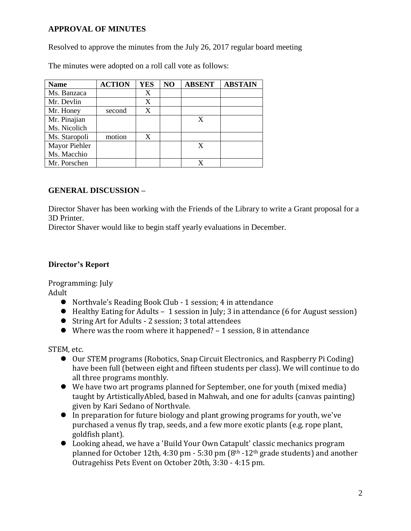## **APPROVAL OF MINUTES**

Resolved to approve the minutes from the July 26, 2017 regular board meeting

The minutes were adopted on a roll call vote as follows:

| <b>Name</b>   | <b>ACTION</b> | <b>YES</b> | N <sub>O</sub> | <b>ABSENT</b> | <b>ABSTAIN</b> |
|---------------|---------------|------------|----------------|---------------|----------------|
| Ms. Banzaca   |               | X          |                |               |                |
| Mr. Devlin    |               | X          |                |               |                |
| Mr. Honey     | second        | X          |                |               |                |
| Mr. Pinajian  |               |            |                | X             |                |
| Ms. Nicolich  |               |            |                |               |                |
| Ms. Staropoli | motion        | X          |                |               |                |
| Mayor Piehler |               |            |                | X             |                |
| Ms. Macchio   |               |            |                |               |                |
| Mr. Porschen  |               |            |                |               |                |

## **GENERAL DISCUSSION –**

Director Shaver has been working with the Friends of the Library to write a Grant proposal for a 3D Printer.

Director Shaver would like to begin staff yearly evaluations in December.

## **Director's Report**

Programming: July

Adult

- Northvale's Reading Book Club 1 session; 4 in attendance
- Healthy Eating for Adults 1 session in July; 3 in attendance (6 for August session)
- String Art for Adults 2 session; 3 total attendees
- Where was the room where it happened? 1 session, 8 in attendance

STEM, etc.

- Our STEM programs (Robotics, Snap Circuit Electronics, and Raspberry Pi Coding) have been full (between eight and fifteen students per class). We will continue to do all three programs monthly.
- We have two art programs planned for September, one for youth (mixed media) taught by ArtisticallyAbled, based in Mahwah, and one for adults (canvas painting) given by Kari Sedano of Northvale.
- In preparation for future biology and plant growing programs for youth, we've purchased a venus fly trap, seeds, and a few more exotic plants (e.g. rope plant, goldfish plant).
- Looking ahead, we have a 'Build Your Own Catapult' classic mechanics program planned for October 12th, 4:30 pm - 5:30 pm  $(8<sup>th</sup> - 12<sup>th</sup>$  grade students) and another Outragehiss Pets Event on October 20th, 3:30 - 4:15 pm.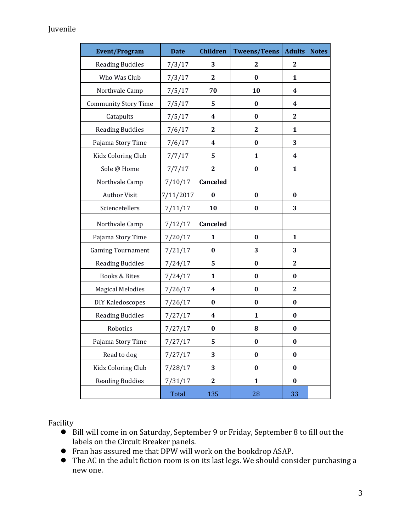# Juvenile

| <b>Event/Program</b>        | <b>Date</b> | <b>Children</b>  | <b>Tweens/Teens</b> | <b>Adults</b>    | <b>Notes</b> |
|-----------------------------|-------------|------------------|---------------------|------------------|--------------|
| <b>Reading Buddies</b>      | 7/3/17      | 3                | $\mathbf{2}$        | $\mathbf{2}$     |              |
| Who Was Club                | 7/3/17      | $\mathbf{2}$     | $\boldsymbol{0}$    | $\mathbf{1}$     |              |
| Northvale Camp              | 7/5/17      | 70               | 10                  | 4                |              |
| <b>Community Story Time</b> | 7/5/17      | 5                | $\bf{0}$            | 4                |              |
| Catapults                   | 7/5/17      | 4                | $\bf{0}$            | $\boldsymbol{2}$ |              |
| <b>Reading Buddies</b>      | 7/6/17      | $\mathbf{2}$     | $\boldsymbol{2}$    | $\mathbf{1}$     |              |
| Pajama Story Time           | 7/6/17      | 4                | $\bf{0}$            | 3                |              |
| Kidz Coloring Club          | 7/7/17      | 5                | $\mathbf{1}$        | 4                |              |
| Sole @ Home                 | 7/7/17      | $\mathbf{2}$     | $\boldsymbol{0}$    | 1                |              |
| Northvale Camp              | 7/10/17     | Canceled         |                     |                  |              |
| <b>Author Visit</b>         | 7/11/2017   | $\bf{0}$         | $\bf{0}$            | $\bf{0}$         |              |
| Sciencetellers              | 7/11/17     | 10               | $\bf{0}$            | 3                |              |
| Northvale Camp              | 7/12/17     | Canceled         |                     |                  |              |
| Pajama Story Time           | 7/20/17     | $\mathbf{1}$     | $\bf{0}$            | 1                |              |
| <b>Gaming Tournament</b>    | 7/21/17     | $\bf{0}$         | 3                   | 3                |              |
| <b>Reading Buddies</b>      | 7/24/17     | 5                | $\bf{0}$            | $\mathbf{2}$     |              |
| <b>Books &amp; Bites</b>    | 7/24/17     | $\mathbf{1}$     | $\bf{0}$            | $\bf{0}$         |              |
| <b>Magical Melodies</b>     | 7/26/17     | 4                | $\boldsymbol{0}$    | $\boldsymbol{2}$ |              |
| DIY Kaledoscopes            | 7/26/17     | $\bf{0}$         | $\boldsymbol{0}$    | $\bf{0}$         |              |
| <b>Reading Buddies</b>      | 7/27/17     | 4                | 1                   | $\bf{0}$         |              |
| Robotics                    | 7/27/17     | 0                | 8                   | $\boldsymbol{0}$ |              |
| Pajama Story Time           | 7/27/17     | 5                | $\bf{0}$            | $\bf{0}$         |              |
| Read to dog                 | 7/27/17     | 3                | $\bf{0}$            | $\bf{0}$         |              |
| Kidz Coloring Club          | 7/28/17     | 3                | $\bf{0}$            | $\bf{0}$         |              |
| <b>Reading Buddies</b>      | 7/31/17     | $\boldsymbol{2}$ | $\mathbf{1}$        | $\bf{0}$         |              |
|                             | Total       | 135              | 28                  | 33               |              |

Facility

- Bill will come in on Saturday, September 9 or Friday, September 8 to fill out the labels on the Circuit Breaker panels.
- Fran has assured me that DPW will work on the bookdrop ASAP.
- The AC in the adult fiction room is on its last legs. We should consider purchasing a new one.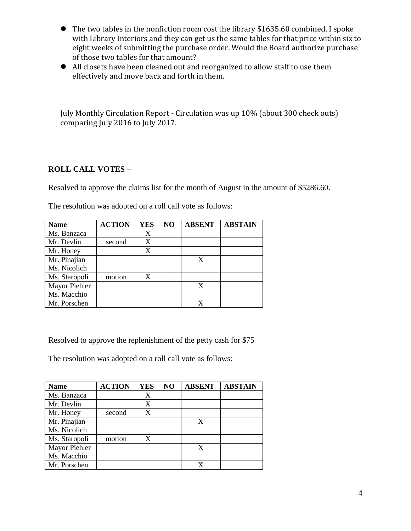- The two tables in the nonfiction room cost the library \$1635.60 combined. I spoke with Library Interiors and they can get us the same tables for that price within six to eight weeks of submitting the purchase order. Would the Board authorize purchase of those two tables for that amount?
- All closets have been cleaned out and reorganized to allow staff to use them effectively and move back and forth in them.

July Monthly Circulation Report - Circulation was up 10% (about 300 check outs) comparing July 2016 to July 2017.

## **ROLL CALL VOTES –**

Resolved to approve the claims list for the month of August in the amount of \$5286.60.

| <b>Name</b>   | <b>ACTION</b> | <b>YES</b> | N <sub>O</sub> | <b>ABSENT</b> | <b>ABSTAIN</b> |
|---------------|---------------|------------|----------------|---------------|----------------|
| Ms. Banzaca   |               | X          |                |               |                |
| Mr. Devlin    | second        | X          |                |               |                |
| Mr. Honey     |               | X          |                |               |                |
| Mr. Pinajian  |               |            |                | X             |                |
| Ms. Nicolich  |               |            |                |               |                |
| Ms. Staropoli | motion        | X          |                |               |                |
| Mayor Piehler |               |            |                | X             |                |
| Ms. Macchio   |               |            |                |               |                |
| Mr. Porschen  |               |            |                |               |                |

The resolution was adopted on a roll call vote as follows:

Resolved to approve the replenishment of the petty cash for \$75

The resolution was adopted on a roll call vote as follows:

| <b>Name</b>   | <b>ACTION</b> | <b>YES</b> | NO | <b>ABSENT</b> | <b>ABSTAIN</b> |
|---------------|---------------|------------|----|---------------|----------------|
| Ms. Banzaca   |               | X          |    |               |                |
| Mr. Devlin    |               | X          |    |               |                |
| Mr. Honey     | second        | X          |    |               |                |
| Mr. Pinajian  |               |            |    |               |                |
| Ms. Nicolich  |               |            |    |               |                |
| Ms. Staropoli | motion        | X          |    |               |                |
| Mayor Piehler |               |            |    | X             |                |
| Ms. Macchio   |               |            |    |               |                |
| Mr. Porschen  |               |            |    |               |                |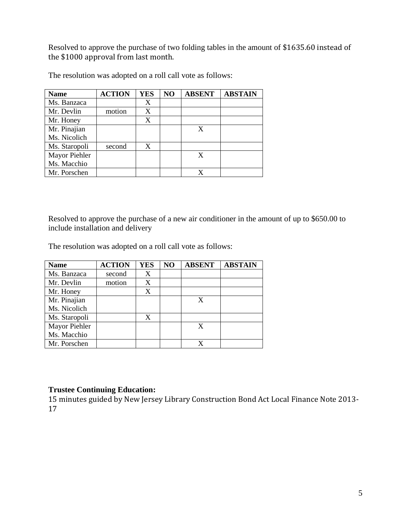Resolved to approve the purchase of two folding tables in the amount of \$1635.60 instead of the \$1000 approval from last month.

| <b>Name</b>   | <b>ACTION</b> | <b>YES</b> | NO | <b>ABSENT</b> | <b>ABSTAIN</b> |
|---------------|---------------|------------|----|---------------|----------------|
| Ms. Banzaca   |               | X          |    |               |                |
| Mr. Devlin    | motion        | X          |    |               |                |
| Mr. Honey     |               | X          |    |               |                |
| Mr. Pinajian  |               |            |    | X             |                |
| Ms. Nicolich  |               |            |    |               |                |
| Ms. Staropoli | second        | X          |    |               |                |
| Mayor Piehler |               |            |    | X             |                |
| Ms. Macchio   |               |            |    |               |                |
| Mr. Porschen  |               |            |    |               |                |

The resolution was adopted on a roll call vote as follows:

Resolved to approve the purchase of a new air conditioner in the amount of up to \$650.00 to include installation and delivery

The resolution was adopted on a roll call vote as follows:

| <b>Name</b>   | <b>ACTION</b> | <b>YES</b> | NO | <b>ABSENT</b> | <b>ABSTAIN</b> |
|---------------|---------------|------------|----|---------------|----------------|
| Ms. Banzaca   | second        | X          |    |               |                |
| Mr. Devlin    | motion        | X          |    |               |                |
| Mr. Honey     |               | X          |    |               |                |
| Mr. Pinajian  |               |            |    | X             |                |
| Ms. Nicolich  |               |            |    |               |                |
| Ms. Staropoli |               | X          |    |               |                |
| Mayor Piehler |               |            |    |               |                |
| Ms. Macchio   |               |            |    |               |                |
| Mr. Porschen  |               |            |    |               |                |

#### **Trustee Continuing Education:**

15 minutes guided by New Jersey Library Construction Bond Act Local Finance Note 2013- 17